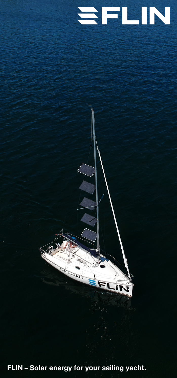## SFLIN



**FLIN – Solar energy for your sailing yacht.**